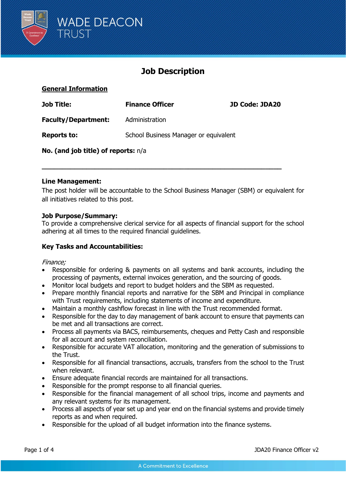

# **Job Description**

### **General Information**

| <b>Job Title:</b>                     | <b>Finance Officer</b>                | <b>JD Code: JDA20</b> |  |
|---------------------------------------|---------------------------------------|-----------------------|--|
| <b>Faculty/Department:</b>            | Administration                        |                       |  |
| <b>Reports to:</b>                    | School Business Manager or equivalent |                       |  |
| No. (and job title) of reports: $n/a$ |                                       |                       |  |

**\_\_\_\_\_\_\_\_\_\_\_\_\_\_\_\_\_\_\_\_\_\_\_\_\_\_\_\_\_\_\_\_\_\_\_\_\_\_\_\_\_\_\_\_\_\_\_\_\_\_\_\_\_\_\_\_\_\_\_**

#### **Line Management:**

The post holder will be accountable to the School Business Manager (SBM) or equivalent for all initiatives related to this post.

#### **Job Purpose/Summary:**

To provide a comprehensive clerical service for all aspects of financial support for the school adhering at all times to the required financial guidelines.

#### **Key Tasks and Accountabilities:**

#### Finance;

- Responsible for ordering & payments on all systems and bank accounts, including the processing of payments, external invoices generation, and the sourcing of goods.
- Monitor local budgets and report to budget holders and the SBM as requested.
- Prepare monthly financial reports and narrative for the SBM and Principal in compliance with Trust requirements, including statements of income and expenditure.
- Maintain a monthly cashflow forecast in line with the Trust recommended format.
- Responsible for the day to day management of bank account to ensure that payments can be met and all transactions are correct.
- Process all payments via BACS, reimbursements, cheques and Petty Cash and responsible for all account and system reconciliation.
- Responsible for accurate VAT allocation, monitoring and the generation of submissions to the Trust.
- Responsible for all financial transactions, accruals, transfers from the school to the Trust when relevant.
- Ensure adequate financial records are maintained for all transactions.
- Responsible for the prompt response to all financial queries.
- Responsible for the financial management of all school trips, income and payments and any relevant systems for its management.
- Process all aspects of year set up and year end on the financial systems and provide timely reports as and when required.
- Responsible for the upload of all budget information into the finance systems.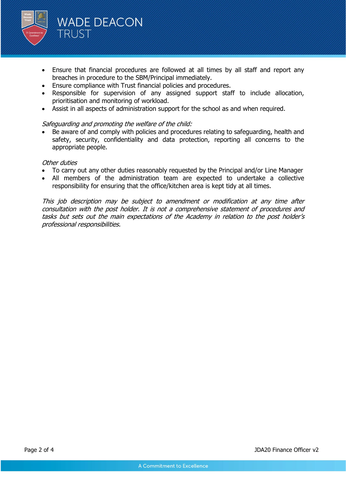

- Ensure that financial procedures are followed at all times by all staff and report any breaches in procedure to the SBM/Principal immediately.
- Ensure compliance with Trust financial policies and procedures.
- Responsible for supervision of any assigned support staff to include allocation, prioritisation and monitoring of workload.
- Assist in all aspects of administration support for the school as and when required.

#### Safeguarding and promoting the welfare of the child:

• Be aware of and comply with policies and procedures relating to safeguarding, health and safety, security, confidentiality and data protection, reporting all concerns to the appropriate people.

#### Other duties

- To carry out any other duties reasonably requested by the Principal and/or Line Manager
- All members of the administration team are expected to undertake a collective responsibility for ensuring that the office/kitchen area is kept tidy at all times.

This job description may be subject to amendment or modification at any time after consultation with the post holder. It is not a comprehensive statement of procedures and tasks but sets out the main expectations of the Academy in relation to the post holder's professional responsibilities.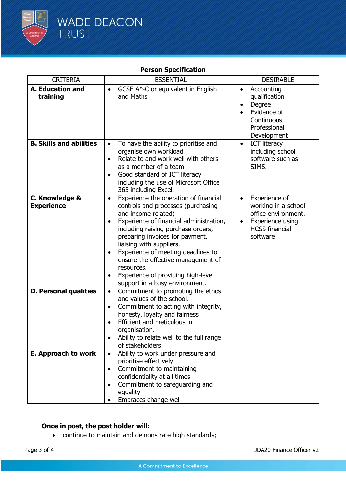

## **Person Specification**

| <b>CRITERIA</b>                     | <b>ESSENTIAL</b>                                                                                                                                                                                                                                                                                                                                                                                                                               | <b>DESIRABLE</b>                                                                                                                               |
|-------------------------------------|------------------------------------------------------------------------------------------------------------------------------------------------------------------------------------------------------------------------------------------------------------------------------------------------------------------------------------------------------------------------------------------------------------------------------------------------|------------------------------------------------------------------------------------------------------------------------------------------------|
| A. Education and<br>training        | GCSE A*-C or equivalent in English<br>$\bullet$<br>and Maths                                                                                                                                                                                                                                                                                                                                                                                   | Accounting<br>$\bullet$<br>qualification<br>Degree<br>$\bullet$<br>Evidence of<br>Continuous<br>Professional<br>Development                    |
| <b>B. Skills and abilities</b>      | To have the ability to prioritise and<br>$\bullet$<br>organise own workload<br>Relate to and work well with others<br>$\bullet$<br>as a member of a team<br>Good standard of ICT literacy<br>including the use of Microsoft Office<br>365 including Excel.                                                                                                                                                                                     | <b>ICT literacy</b><br>$\bullet$<br>including school<br>software such as<br>SIMS.                                                              |
| C. Knowledge &<br><b>Experience</b> | Experience the operation of financial<br>$\bullet$<br>controls and processes (purchasing<br>and income related)<br>Experience of financial administration,<br>including raising purchase orders,<br>preparing invoices for payment,<br>liaising with suppliers.<br>Experience of meeting deadlines to<br>ensure the effective management of<br>resources.<br>Experience of providing high-level<br>$\bullet$<br>support in a busy environment. | Experience of<br>$\bullet$<br>working in a school<br>office environment.<br>Experience using<br>$\bullet$<br><b>HCSS</b> financial<br>software |
| <b>D. Personal qualities</b>        | Commitment to promoting the ethos<br>$\bullet$<br>and values of the school.<br>Commitment to acting with integrity,<br>$\bullet$<br>honesty, loyalty and fairness<br>Efficient and meticulous in<br>organisation.<br>Ability to relate well to the full range<br>of stakeholders                                                                                                                                                               |                                                                                                                                                |
| E. Approach to work                 | Ability to work under pressure and<br>$\bullet$<br>prioritise effectively<br>Commitment to maintaining<br>$\bullet$<br>confidentiality at all times<br>Commitment to safeguarding and<br>equality<br>Embraces change well                                                                                                                                                                                                                      |                                                                                                                                                |

### **Once in post, the post holder will:**

• continue to maintain and demonstrate high standards;